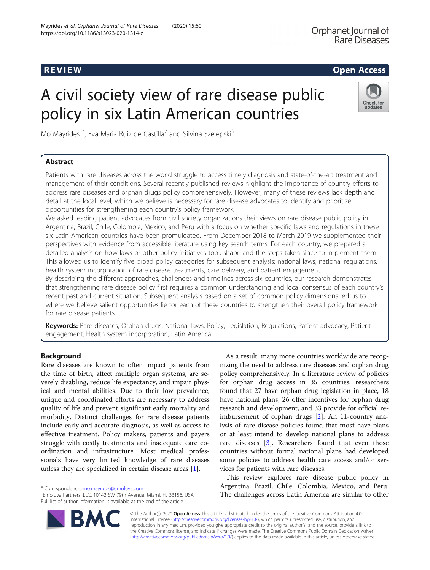## R EVI EW Open Access

# A civil society view of rare disease public policy in six Latin American countries

Mo Mayrides<sup>1\*</sup>, Eva Maria Ruiz de Castilla<sup>2</sup> and Silvina Szelepski<sup>3</sup>

## Abstract

Patients with rare diseases across the world struggle to access timely diagnosis and state-of-the-art treatment and management of their conditions. Several recently published reviews highlight the importance of country efforts to address rare diseases and orphan drugs policy comprehensively. However, many of these reviews lack depth and detail at the local level, which we believe is necessary for rare disease advocates to identify and prioritize opportunities for strengthening each country's policy framework.

We asked leading patient advocates from civil society organizations their views on rare disease public policy in Argentina, Brazil, Chile, Colombia, Mexico, and Peru with a focus on whether specific laws and regulations in these six Latin American countries have been promulgated. From December 2018 to March 2019 we supplemented their perspectives with evidence from accessible literature using key search terms. For each country, we prepared a detailed analysis on how laws or other policy initiatives took shape and the steps taken since to implement them. This allowed us to identify five broad policy categories for subsequent analysis: national laws, national regulations, health system incorporation of rare disease treatments, care delivery, and patient engagement.

By describing the different approaches, challenges and timelines across six countries, our research demonstrates that strengthening rare disease policy first requires a common understanding and local consensus of each country's recent past and current situation. Subsequent analysis based on a set of common policy dimensions led us to where we believe salient opportunities lie for each of these countries to strengthen their overall policy framework for rare disease patients.

Keywords: Rare diseases, Orphan drugs, National laws, Policy, Legislation, Regulations, Patient advocacy, Patient engagement, Health system incorporation, Latin America

## Background

Rare diseases are known to often impact patients from the time of birth, affect multiple organ systems, are severely disabling, reduce life expectancy, and impair physical and mental abilities. Due to their low prevalence, unique and coordinated efforts are necessary to address quality of life and prevent significant early mortality and morbidity. Distinct challenges for rare disease patients include early and accurate diagnosis, as well as access to effective treatment. Policy makers, patients and payers struggle with costly treatments and inadequate care coordination and infrastructure. Most medical professionals have very limited knowledge of rare diseases unless they are specialized in certain disease areas [\[1](#page-9-0)].

\* Correspondence: [mo.mayrides@emoluva.com](mailto:mo.mayrides@emoluva.com) <sup>1</sup>

<sup>1</sup> Emoluva Partners, LLC, 10142 SW 79th Avenue, Miami, FL 33156, USA Full list of author information is available at the end of the article

policy comprehensively. In a literature review of policies for orphan drug access in 35 countries, researchers found that 27 have orphan drug legislation in place, 18 have national plans, 26 offer incentives for orphan drug research and development, and 33 provide for official reimbursement of orphan drugs [[2\]](#page-9-0). An 11-country analysis of rare disease policies found that most have plans or at least intend to develop national plans to address rare diseases [[3\]](#page-9-0). Researchers found that even those countries without formal national plans had developed some policies to address health care access and/or services for patients with rare diseases. This review explores rare disease public policy in

As a result, many more countries worldwide are recognizing the need to address rare diseases and orphan drug

Argentina, Brazil, Chile, Colombia, Mexico, and Peru. The challenges across Latin America are similar to other

© The Author(s). 2020 **Open Access** This article is distributed under the terms of the Creative Commons Attribution 4.0 International License [\(http://creativecommons.org/licenses/by/4.0/](http://creativecommons.org/licenses/by/4.0/)), which permits unrestricted use, distribution, and reproduction in any medium, provided you give appropriate credit to the original author(s) and the source, provide a link to the Creative Commons license, and indicate if changes were made. The Creative Commons Public Domain Dedication waiver [\(http://creativecommons.org/publicdomain/zero/1.0/](http://creativecommons.org/publicdomain/zero/1.0/)) applies to the data made available in this article, unless otherwise stated.

**BM** 

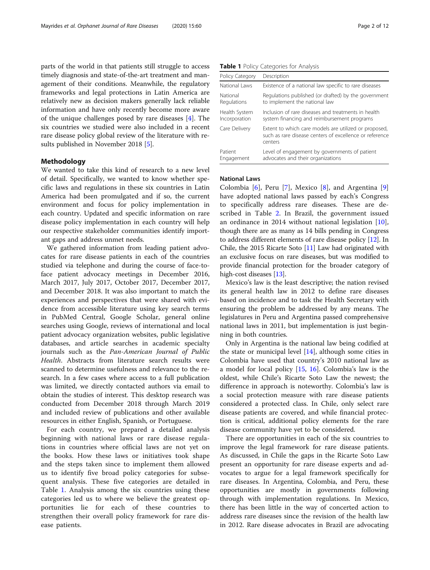parts of the world in that patients still struggle to access timely diagnosis and state-of-the-art treatment and management of their conditions. Meanwhile, the regulatory frameworks and legal protections in Latin America are relatively new as decision makers generally lack reliable information and have only recently become more aware of the unique challenges posed by rare diseases [[4](#page-9-0)]. The six countries we studied were also included in a recent rare disease policy global review of the literature with results published in November 2018 [\[5](#page-9-0)].

## Methodology

We wanted to take this kind of research to a new level of detail. Specifically, we wanted to know whether specific laws and regulations in these six countries in Latin America had been promulgated and if so, the current environment and focus for policy implementation in each country. Updated and specific information on rare disease policy implementation in each country will help our respective stakeholder communities identify important gaps and address unmet needs.

We gathered information from leading patient advocates for rare disease patients in each of the countries studied via telephone and during the course of face-toface patient advocacy meetings in December 2016, March 2017, July 2017, October 2017, December 2017, and December 2018. It was also important to match the experiences and perspectives that were shared with evidence from accessible literature using key search terms in PubMed Central, Google Scholar, general online searches using Google, reviews of international and local patient advocacy organization websites, public legislative databases, and article searches in academic specialty journals such as the Pan-American Journal of Public Health. Abstracts from literature search results were scanned to determine usefulness and relevance to the research. In a few cases where access to a full publication was limited, we directly contacted authors via email to obtain the studies of interest. This desktop research was conducted from December 2018 through March 2019 and included review of publications and other available resources in either English, Spanish, or Portuguese.

For each country, we prepared a detailed analysis beginning with national laws or rare disease regulations in countries where official laws are not yet on the books. How these laws or initiatives took shape and the steps taken since to implement them allowed us to identify five broad policy categories for subsequent analysis. These five categories are detailed in Table 1. Analysis among the six countries using these categories led us to where we believe the greatest opportunities lie for each of these countries to strengthen their overall policy framework for rare disease patients.

Table 1 Policy Categories for Analysis

| Policy Category | Description                                                                                                                 |  |
|-----------------|-----------------------------------------------------------------------------------------------------------------------------|--|
| National Laws   | Existence of a national law specific to rare diseases                                                                       |  |
| National        | Regulations published (or drafted) by the government                                                                        |  |
| Regulations     | to implement the national law                                                                                               |  |
| Health System   | Inclusion of rare diseases and treatments in health                                                                         |  |
| Incorporation   | system financing and reimbursement programs                                                                                 |  |
| Care Delivery   | Extent to which care models are utilized or proposed,<br>such as rare disease centers of excellence or reference<br>centers |  |
| Patient         | Level of engagement by governments of patient                                                                               |  |
| Engagement      | advocates and their organizations                                                                                           |  |

#### National Laws

Colombia [[6\]](#page-9-0), Peru [[7](#page-9-0)], Mexico [\[8](#page-9-0)], and Argentina [\[9](#page-9-0)] have adopted national laws passed by each's Congress to specifically address rare diseases. These are described in Table [2.](#page-2-0) In Brazil, the government issued an ordinance in 2014 without national legislation [\[10](#page-9-0)], though there are as many as 14 bills pending in Congress to address different elements of rare disease policy [\[12](#page-9-0)]. In Chile, the 2015 Ricarte Soto  $[11]$  Law had originated with an exclusive focus on rare diseases, but was modified to provide financial protection for the broader category of high-cost diseases [[13](#page-9-0)].

Mexico's law is the least descriptive; the nation revised its general health law in 2012 to define rare diseases based on incidence and to task the Health Secretary with ensuring the problem be addressed by any means. The legislatures in Peru and Argentina passed comprehensive national laws in 2011, but implementation is just beginning in both countries.

Only in Argentina is the national law being codified at the state or municipal level  $[14]$  $[14]$ , although some cities in Colombia have used that country's 2010 national law as a model for local policy [[15,](#page-9-0) [16\]](#page-9-0). Colombia's law is the oldest, while Chile's Ricarte Soto Law the newest; the difference in approach is noteworthy. Colombia's law is a social protection measure with rare disease patients considered a protected class. In Chile, only select rare disease patients are covered, and while financial protection is critical, additional policy elements for the rare disease community have yet to be considered.

There are opportunities in each of the six countries to improve the legal framework for rare disease patients. As discussed, in Chile the gaps in the Ricarte Soto Law present an opportunity for rare disease experts and advocates to argue for a legal framework specifically for rare diseases. In Argentina, Colombia, and Peru, these opportunities are mostly in governments following through with implementation regulations. In Mexico, there has been little in the way of concerted action to address rare diseases since the revision of the health law in 2012. Rare disease advocates in Brazil are advocating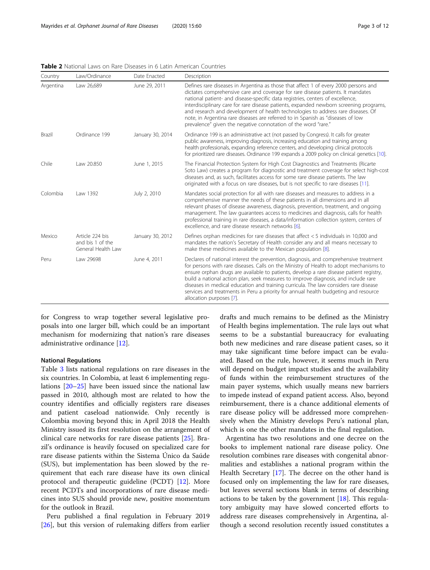| Country   | Law/Ordinance                                             | Date Enacted     | Description                                                                                                                                                                                                                                                                                                                                                                                                                                                                                                                                                                                 |  |
|-----------|-----------------------------------------------------------|------------------|---------------------------------------------------------------------------------------------------------------------------------------------------------------------------------------------------------------------------------------------------------------------------------------------------------------------------------------------------------------------------------------------------------------------------------------------------------------------------------------------------------------------------------------------------------------------------------------------|--|
| Argentina | Law 26,689                                                | June 29, 2011    | Defines rare diseases in Argentina as those that affect 1 of every 2000 persons and<br>dictates comprehensive care and coverage for rare disease patients. It mandates<br>national patient- and disease-specific data registries, centers of excellence,<br>interdisciplinary care for rare disease patients, expanded newborn screening programs,<br>and research and development of health technologies to address rare diseases. Of<br>note, in Argentina rare diseases are referred to in Spanish as "diseases of low<br>prevalence" given the negative connotation of the word "rare." |  |
| Brazil    | Ordinance 199                                             | January 30, 2014 | Ordinance 199 is an administrative act (not passed by Congress). It calls for greater<br>public awareness, improving diagnosis, increasing education and training among<br>health professionals, expanding reference centers, and developing clinical protocols<br>for prioritized rare diseases. Ordinance 199 expands a 2009 policy on clinical genetics [10].                                                                                                                                                                                                                            |  |
| Chile     | Law 20.850                                                | June 1, 2015     | The Financial Protection System for High Cost Diagnostics and Treatments (Ricarte<br>Soto Law) creates a program for diagnostic and treatment coverage for select high-cost<br>diseases and, as such, facilitates access for some rare disease patients. The law<br>originated with a focus on rare diseases, but is not specific to rare diseases [11].                                                                                                                                                                                                                                    |  |
| Colombia  | Law 1392                                                  | July 2, 2010     | Mandates social protection for all with rare diseases and measures to address in a<br>comprehensive manner the needs of these patients in all dimensions and in all<br>relevant phases of disease awareness, diagnosis, prevention, treatment, and ongoing<br>management. The law guarantees access to medicines and diagnosis, calls for health<br>professional training in rare diseases, a data/information collection system, centers of<br>excellence, and rare disease research networks [6].                                                                                         |  |
| Mexico    | Article 224 bis<br>and bis 1 of the<br>General Health Law | January 30, 2012 | Defines orphan medicines for rare diseases that affect < 5 individuals in 10,000 and<br>mandates the nation's Secretary of Health consider any and all means necessary to<br>make these medicines available to the Mexican population [8].                                                                                                                                                                                                                                                                                                                                                  |  |
| Peru      | Law 29698                                                 | June 4, 2011     | Declares of national interest the prevention, diagnosis, and comprehensive treatment<br>for persons with rare diseases. Calls on the Ministry of Health to adopt mechanisms to<br>ensure orphan drugs are available to patients, develop a rare disease patient registry,<br>build a national action plan, seek measures to improve diagnosis, and include rare<br>diseases in medical education and training curricula. The law considers rare disease<br>services and treatments in Peru a priority for annual health budgeting and resource<br>allocation purposes [7]                   |  |

<span id="page-2-0"></span>Table 2 National Laws on Rare Diseases in 6 Latin American Countries

for Congress to wrap together several legislative proposals into one larger bill, which could be an important mechanism for modernizing that nation's rare diseases administrative ordinance [\[12](#page-9-0)].

#### National Regulations

Table [3](#page-3-0) lists national regulations on rare diseases in the six countries. In Colombia, at least 6 implementing regulations [[20](#page-10-0)–[25](#page-10-0)] have been issued since the national law passed in 2010, although most are related to how the country identifies and officially registers rare diseases and patient caseload nationwide. Only recently is Colombia moving beyond this; in April 2018 the Health Ministry issued its first resolution on the arrangement of clinical care networks for rare disease patients [[25](#page-10-0)]. Brazil's ordinance is heavily focused on specialized care for rare disease patients within the Sistema Único da Saúde (SUS), but implementation has been slowed by the requirement that each rare disease have its own clinical protocol and therapeutic guideline (PCDT) [\[12](#page-9-0)]. More recent PCDTs and incorporations of rare disease medicines into SUS should provide new, positive momentum for the outlook in Brazil.

Peru published a final regulation in February 2019 [[26\]](#page-10-0), but this version of rulemaking differs from earlier

drafts and much remains to be defined as the Ministry of Health begins implementation. The rule lays out what seems to be a substantial bureaucracy for evaluating both new medicines and rare disease patient cases, so it may take significant time before impact can be evaluated. Based on the rule, however, it seems much in Peru will depend on budget impact studies and the availability of funds within the reimbursement structures of the main payer systems, which usually means new barriers to impede instead of expand patient access. Also, beyond reimbursement, there is a chance additional elements of rare disease policy will be addressed more comprehensively when the Ministry develops Peru's national plan, which is one the other mandates in the final regulation.

Argentina has two resolutions and one decree on the books to implement national rare disease policy. One resolution combines rare diseases with congenital abnormalities and establishes a national program within the Health Secretary [[17\]](#page-9-0). The decree on the other hand is focused only on implementing the law for rare diseases, but leaves several sections blank in terms of describing actions to be taken by the government  $[18]$  $[18]$ . This regulatory ambiguity may have slowed concerted efforts to address rare diseases comprehensively in Argentina, although a second resolution recently issued constitutes a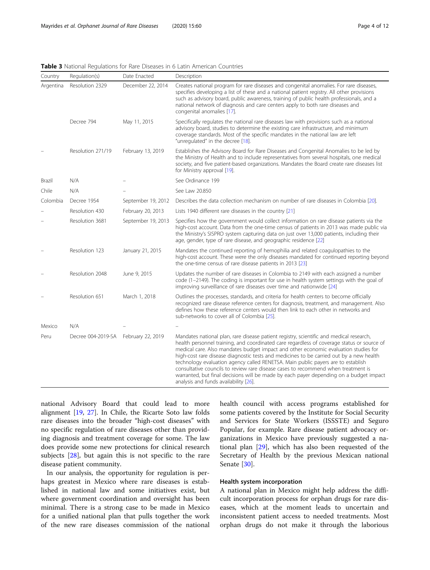<span id="page-3-0"></span>Table 3 National Regulations for Rare Diseases in 6 Latin American Countries

| Country   | Regulation(s)      | Date Enacted       | Description                                                                                                                                                                                                                                                                                                                                                                                                                                                                                                                                                                                                                                                                         |  |
|-----------|--------------------|--------------------|-------------------------------------------------------------------------------------------------------------------------------------------------------------------------------------------------------------------------------------------------------------------------------------------------------------------------------------------------------------------------------------------------------------------------------------------------------------------------------------------------------------------------------------------------------------------------------------------------------------------------------------------------------------------------------------|--|
| Argentina | Resolution 2329    | December 22, 2014  | Creates national program for rare diseases and congenital anomalies. For rare diseases,<br>specifies developing a list of these and a national patient registry. All other provisions<br>such as advisory board, public awareness, training of public health professionals, and a<br>national network of diagnosis and care centers apply to both rare diseases and<br>congenital anomalies [17].                                                                                                                                                                                                                                                                                   |  |
|           | Decree 794         | May 11, 2015       | Specifically regulates the national rare diseases law with provisions such as a national<br>advisory board, studies to determine the existing care infrastructure, and minimum<br>coverage standards. Most of the specific mandates in the national law are left<br>"unregulated" in the decree [18].                                                                                                                                                                                                                                                                                                                                                                               |  |
|           | Resolution 271/19  | February 13, 2019  | Establishes the Advisory Board for Rare Diseases and Congenital Anomalies to be led by<br>the Ministry of Health and to include representatives from several hospitals, one medical<br>society, and five patient-based organizations. Mandates the Board create rare diseases list<br>for Ministry approval [19].                                                                                                                                                                                                                                                                                                                                                                   |  |
| Brazil    | N/A                |                    | See Ordinance 199                                                                                                                                                                                                                                                                                                                                                                                                                                                                                                                                                                                                                                                                   |  |
| Chile     | N/A                |                    | See Law 20.850                                                                                                                                                                                                                                                                                                                                                                                                                                                                                                                                                                                                                                                                      |  |
| Colombia  | Decree 1954        | September 19, 2012 | Describes the data collection mechanism on number of rare diseases in Colombia [20].                                                                                                                                                                                                                                                                                                                                                                                                                                                                                                                                                                                                |  |
|           | Resolution 430     | February 20, 2013  | Lists 1940 different rare diseases in the country [21]                                                                                                                                                                                                                                                                                                                                                                                                                                                                                                                                                                                                                              |  |
|           | Resolution 3681    | September 19, 2013 | Specifies how the government would collect information on rare disease patients via the<br>high-cost account. Data from the one-time census of patients in 2013 was made public via<br>the Ministry's SISPRO system capturing data on just over 13,000 patients, including their<br>age, gender, type of rare disease, and geographic residence [22]                                                                                                                                                                                                                                                                                                                                |  |
|           | Resolution 123     | January 21, 2015   | Mandates the continued reporting of hemophilia and related coagulopathies to the<br>high-cost account. These were the only diseases mandated for continued reporting beyond<br>the one-time census of rare disease patients in 2013 [23]                                                                                                                                                                                                                                                                                                                                                                                                                                            |  |
|           | Resolution 2048    | June 9, 2015       | Updates the number of rare diseases in Colombia to 2149 with each assigned a number<br>code (1-2149). The coding is important for use in health system settings with the goal of<br>improving surveillance of rare diseases over time and nationwide [24]                                                                                                                                                                                                                                                                                                                                                                                                                           |  |
|           | Resolution 651     | March 1, 2018      | Outlines the processes, standards, and criteria for health centers to become officially<br>recognized rare disease reference centers for diagnosis, treatment, and management. Also<br>defines how these reference centers would then link to each other in networks and<br>sub-networks to cover all of Colombia [25].                                                                                                                                                                                                                                                                                                                                                             |  |
| Mexico    | N/A                |                    |                                                                                                                                                                                                                                                                                                                                                                                                                                                                                                                                                                                                                                                                                     |  |
| Peru      | Decree 004-2019-SA | February 22, 2019  | Mandates national plan, rare disease patient registry, scientific and medical research,<br>health personnel training, and coordinated care regardless of coverage status or source of<br>medical care. Also mandates budget impact and other economic evaluation studies for<br>high-cost rare disease diagnostic tests and medicines to be carried out by a new health<br>technology evaluation agency called RENETSA. Main public payers are to establish<br>consultative councils to review rare disease cases to recommend when treatment is<br>warranted, but final decisions will be made by each payer depending on a budget impact<br>analysis and funds availability [26]. |  |

national Advisory Board that could lead to more alignment [[19,](#page-10-0) [27\]](#page-10-0). In Chile, the Ricarte Soto law folds rare diseases into the broader "high-cost diseases" with no specific regulation of rare diseases other than providing diagnosis and treatment coverage for some. The law does provide some new protections for clinical research subjects [[28\]](#page-10-0), but again this is not specific to the rare disease patient community.

In our analysis, the opportunity for regulation is perhaps greatest in Mexico where rare diseases is established in national law and some initiatives exist, but where government coordination and oversight has been minimal. There is a strong case to be made in Mexico for a unified national plan that pulls together the work of the new rare diseases commission of the national health council with access programs established for some patients covered by the Institute for Social Security and Services for State Workers (ISSSTE) and Seguro Popular, for example. Rare disease patient advocacy organizations in Mexico have previously suggested a national plan [[29\]](#page-10-0), which has also been requested of the Secretary of Health by the previous Mexican national Senate [[30](#page-10-0)].

### Health system incorporation

A national plan in Mexico might help address the difficult incorporation process for orphan drugs for rare diseases, which at the moment leads to uncertain and inconsistent patient access to needed treatments. Most orphan drugs do not make it through the laborious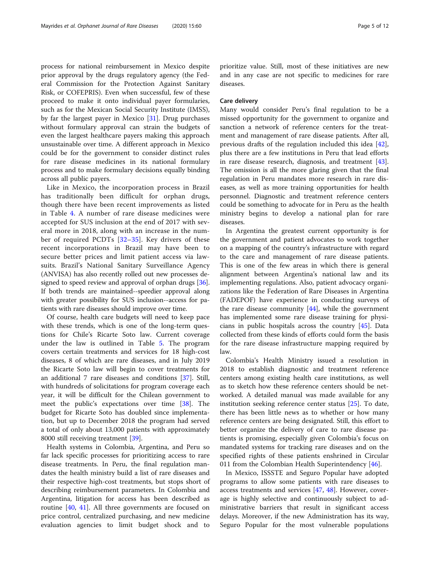process for national reimbursement in Mexico despite prior approval by the drugs regulatory agency (the Federal Commission for the Protection Against Sanitary Risk, or COFEPRIS). Even when successful, few of these proceed to make it onto individual payer formularies, such as for the Mexican Social Security Institute (IMSS), by far the largest payer in Mexico [[31\]](#page-10-0). Drug purchases without formulary approval can strain the budgets of even the largest healthcare payers making this approach unsustainable over time. A different approach in Mexico could be for the government to consider distinct rules for rare disease medicines in its national formulary process and to make formulary decisions equally binding across all public payers.

Like in Mexico, the incorporation process in Brazil has traditionally been difficult for orphan drugs, though there have been recent improvements as listed in Table [4](#page-5-0). A number of rare disease medicines were accepted for SUS inclusion at the end of 2017 with several more in 2018, along with an increase in the number of required PCDTs [[32](#page-10-0)–[35](#page-10-0)]. Key drivers of these recent incorporations in Brazil may have been to secure better prices and limit patient access via lawsuits. Brazil's National Sanitary Surveillance Agency (ANVISA) has also recently rolled out new processes designed to speed review and approval of orphan drugs [[36](#page-10-0)]. If both trends are maintained--speedier approval along with greater possibility for SUS inclusion--access for patients with rare diseases should improve over time.

Of course, health care budgets will need to keep pace with these trends, which is one of the long-term questions for Chile's Ricarte Soto law. Current coverage under the law is outlined in Table [5](#page-6-0). The program covers certain treatments and services for 18 high-cost diseases, 8 of which are rare diseases, and in July 2019 the Ricarte Soto law will begin to cover treatments for an additional 7 rare diseases and conditions [[37\]](#page-10-0). Still, with hundreds of solicitations for program coverage each year, it will be difficult for the Chilean government to meet the public's expectations over time [\[38](#page-10-0)]. The budget for Ricarte Soto has doubled since implementation, but up to December 2018 the program had served a total of only about 13,000 patients with approximately 8000 still receiving treatment [\[39](#page-10-0)].

Health systems in Colombia, Argentina, and Peru so far lack specific processes for prioritizing access to rare disease treatments. In Peru, the final regulation mandates the health ministry build a list of rare diseases and their respective high-cost treatments, but stops short of describing reimbursement parameters. In Colombia and Argentina, litigation for access has been described as routine [[40,](#page-10-0) [41\]](#page-10-0). All three governments are focused on price control, centralized purchasing, and new medicine evaluation agencies to limit budget shock and to prioritize value. Still, most of these initiatives are new and in any case are not specific to medicines for rare diseases.

### Care delivery

Many would consider Peru's final regulation to be a missed opportunity for the government to organize and sanction a network of reference centers for the treatment and management of rare disease patients. After all, previous drafts of the regulation included this idea [\[42](#page-10-0)], plus there are a few institutions in Peru that lead efforts in rare disease research, diagnosis, and treatment [\[43](#page-10-0)]. The omission is all the more glaring given that the final regulation in Peru mandates more research in rare diseases, as well as more training opportunities for health personnel. Diagnostic and treatment reference centers could be something to advocate for in Peru as the health ministry begins to develop a national plan for rare diseases.

In Argentina the greatest current opportunity is for the government and patient advocates to work together on a mapping of the country's infrastructure with regard to the care and management of rare disease patients. This is one of the few areas in which there is general alignment between Argentina's national law and its implementing regulations. Also, patient advocacy organizations like the Federation of Rare Diseases in Argentina (FADEPOF) have experience in conducting surveys of the rare disease community  $[44]$ , while the government has implemented some rare disease training for physicians in public hospitals across the country [[45](#page-10-0)]. Data collected from these kinds of efforts could form the basis for the rare disease infrastructure mapping required by law.

Colombia's Health Ministry issued a resolution in 2018 to establish diagnostic and treatment reference centers among existing health care institutions, as well as to sketch how these reference centers should be networked. A detailed manual was made available for any institution seeking reference center status [\[25\]](#page-10-0). To date, there has been little news as to whether or how many reference centers are being designated. Still, this effort to better organize the delivery of care to rare disease patients is promising, especially given Colombia's focus on mandated systems for tracking rare diseases and on the specified rights of these patients enshrined in Circular 011 from the Colombian Health Superintendency [[46\]](#page-10-0).

In Mexico, ISSSTE and Seguro Popular have adopted programs to allow some patients with rare diseases to access treatments and services [[47,](#page-10-0) [48](#page-10-0)]. However, coverage is highly selective and continuously subject to administrative barriers that result in significant access delays. Moreover, if the new Administration has its way, Seguro Popular for the most vulnerable populations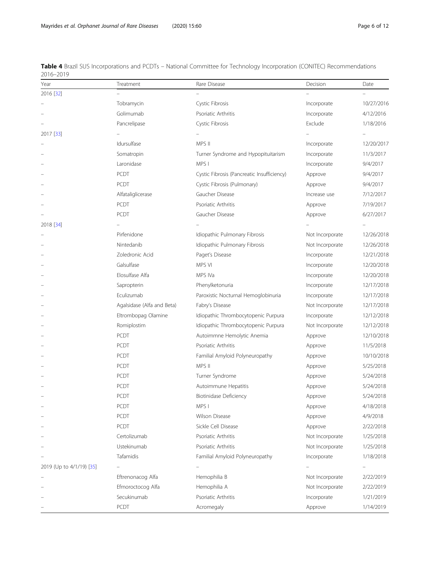<span id="page-5-0"></span>Table 4 Brazil SUS Incorporations and PCDTs - National Committee for Technology Incorporation (CONITEC) Recommendations 2016–2019

| Year                     | Treatment                  | Rare Disease                               | Decision        | Date       |
|--------------------------|----------------------------|--------------------------------------------|-----------------|------------|
| 2016 [32]                |                            |                                            |                 |            |
|                          | Tobramycin                 | Cystic Fibrosis                            | Incorporate     | 10/27/2016 |
|                          | Golimumab                  | Psoriatic Arthritis                        | Incorporate     | 4/12/2016  |
|                          | Pancrelipase               | Cystic Fibrosis                            | Exclude         | 1/18/2016  |
| 2017 [33]                |                            |                                            |                 |            |
|                          | Idursulfase                | MPS II                                     | Incorporate     | 12/20/2017 |
|                          | Somatropin                 | Turner Syndrome and Hypopituitarism        | Incorporate     | 11/3/2017  |
|                          | Laronidase                 | MPS I                                      | Incorporate     | 9/4/2017   |
|                          | PCDT                       | Cystic Fibrosis (Pancreatic Insufficiency) | Approve         | 9/4/2017   |
|                          | PCDT                       | Cystic Fibrosis (Pulmonary)                | Approve         | 9/4/2017   |
|                          | Alfataliglicerase          | Gaucher Disease                            | Increase use    | 7/12/2017  |
|                          | <b>PCDT</b>                | Psoriatic Arthritis                        | Approve         | 7/19/2017  |
|                          | PCDT                       | Gaucher Disease                            | Approve         | 6/27/2017  |
| 2018 [34]                |                            |                                            |                 |            |
|                          | Pirfenidone                | Idiopathic Pulmonary Fibrosis              | Not Incorporate | 12/26/2018 |
|                          | Nintedanib                 | Idiopathic Pulmonary Fibrosis              | Not Incorporate | 12/26/2018 |
|                          | Zoledronic Acid            | Paget's Disease                            | Incorporate     | 12/21/2018 |
|                          | Galsulfase                 | MPS VI                                     | Incorporate     | 12/20/2018 |
|                          | Elosulfase Alfa            | MPS IVa                                    | Incorporate     | 12/20/2018 |
|                          | Sapropterin                | Phenylketonuria                            | Incorporate     | 12/17/2018 |
|                          | Eculizumab                 | Paroxistic Nocturnal Hemoglobinuria        | Incorporate     | 12/17/2018 |
|                          | Agalsidase (Alfa and Beta) | Fabry's Disease                            | Not Incorporate | 12/17/2018 |
|                          | Eltrombopag Olamine        | Idiopathic Thrombocytopenic Purpura        | Incorporate     | 12/12/2018 |
|                          | Romiplostim                | Idiopathic Thrombocytopenic Purpura        | Not Incorporate | 12/12/2018 |
|                          | PCDT                       | Autoimmne Hemolytic Anemia                 | Approve         | 12/10/2018 |
|                          | PCDT                       | Psoriatic Arthritis                        | Approve         | 11/5/2018  |
|                          | PCDT                       | Familial Amyloid Polyneuropathy            | Approve         | 10/10/2018 |
|                          | PCDT                       | MPS II                                     | Approve         | 5/25/2018  |
|                          | PCDT                       | Turner Syndrome                            | Approve         | 5/24/2018  |
|                          | PCDT                       | Autoimmune Hepatitis                       | Approve         | 5/24/2018  |
|                          | PCDT                       | Biotinidase Deficiency                     | Approve         | 5/24/2018  |
|                          | PCDT                       | MPS I                                      | Approve         | 4/18/2018  |
|                          | PCDT                       | Wilson Disease                             | Approve         | 4/9/2018   |
|                          | PCDT                       | Sickle Cell Disease                        | Approve         | 2/22/2018  |
|                          | Certolizumab               | Psoriatic Arthritis                        | Not Incorporate | 1/25/2018  |
|                          | Ustekinumab                | Psoriatic Arthritis                        | Not Incorporate | 1/25/2018  |
|                          | Tafamidis                  | Familial Amyloid Polyneuropathy            | Incorporate     | 1/18/2018  |
| 2019 (Up to 4/1/19) [35] |                            |                                            |                 |            |
|                          | Eftrenonacog Alfa          | Hemophilia B                               | Not Incorporate | 2/22/2019  |
|                          | Efmoroctocog Alfa          | Hemophilia A                               | Not Incorporate | 2/22/2019  |
|                          | Secukinumab                | Psoriatic Arthritis                        | Incorporate     | 1/21/2019  |
|                          | PCDT                       | Acromegaly                                 | Approve         | 1/14/2019  |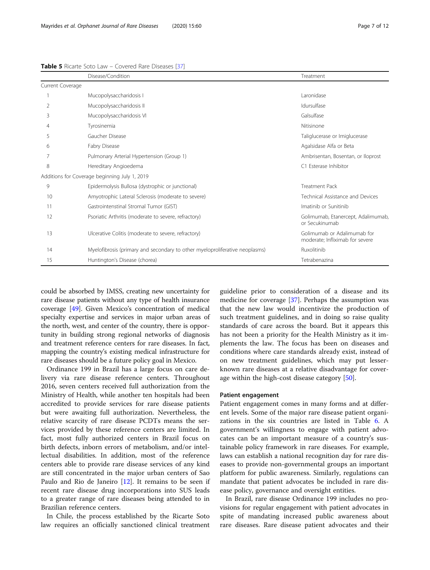|                  | Disease/Condition                                                           | Treatment                                                      |
|------------------|-----------------------------------------------------------------------------|----------------------------------------------------------------|
| Current Coverage |                                                                             |                                                                |
|                  | Mucopolysaccharidosis I                                                     | Laronidase                                                     |
| 2                | Mucopolysaccharidosis II                                                    | Idursulfase                                                    |
| 3                | Mucopolysaccharidosis VI                                                    | Galsulfase                                                     |
| 4                | Tyrosinemia                                                                 | Nitisinone                                                     |
| 5                | Gaucher Disease                                                             | Taliglucerase or Imiglucerase                                  |
| 6                | Fabry Disease                                                               | Agalsidase Alfa or Beta                                        |
|                  | Pulmonary Arterial Hypertension (Group 1)                                   | Ambrisentan, Bosentan, or Iloprost                             |
| 8                | Hereditary Angioedema                                                       | C1 Esterase Inhibitor                                          |
|                  | Additions for Coverage beginning July 1, 2019                               |                                                                |
| 9                | Epidermolysis Bullosa (dystrophic or junctional)                            | <b>Treatment Pack</b>                                          |
| 10               | Amyotrophic Lateral Sclerosis (moderate to severe)                          | Technical Assistance and Devices                               |
| 11               | Gastrointenstinal Stromal Tumor (GIST)                                      | Imatinib or Sunitinib                                          |
| 12               | Psoriatic Arthritis (moderate to severe, refractory)                        | Golimumab, Etanercept, Adalimumab,<br>or Secukinumab           |
| 13               | Ulcerative Colitis (moderate to severe, refractory)                         | Golimumab or Adalimumab for<br>moderate; Infliximab for severe |
| 14               | Myelofibrosis (primary and secondary to other myeloproliferative neoplasms) | Ruxolitinib                                                    |
| 15               | Huntington's Disease (chorea)                                               | Tetrabenazina                                                  |

<span id="page-6-0"></span>Table 5 Ricarte Soto Law – Covered Rare Diseases [\[37\]](#page-10-0)

could be absorbed by IMSS, creating new uncertainty for rare disease patients without any type of health insurance coverage [\[49\]](#page-10-0). Given Mexico's concentration of medical specialty expertise and services in major urban areas of the north, west, and center of the country, there is opportunity in building strong regional networks of diagnosis and treatment reference centers for rare diseases. In fact, mapping the country's existing medical infrastructure for rare diseases should be a future policy goal in Mexico.

Ordinance 199 in Brazil has a large focus on care delivery via rare disease reference centers. Throughout 2016, seven centers received full authorization from the Ministry of Health, while another ten hospitals had been accredited to provide services for rare disease patients but were awaiting full authorization. Nevertheless, the relative scarcity of rare disease PCDTs means the services provided by these reference centers are limited. In fact, most fully authorized centers in Brazil focus on birth defects, inborn errors of metabolism, and/or intellectual disabilities. In addition, most of the reference centers able to provide rare disease services of any kind are still concentrated in the major urban centers of Sao Paulo and Rio de Janeiro [\[12](#page-9-0)]. It remains to be seen if recent rare disease drug incorporations into SUS leads to a greater range of rare diseases being attended to in Brazilian reference centers.

In Chile, the process established by the Ricarte Soto law requires an officially sanctioned clinical treatment

guideline prior to consideration of a disease and its medicine for coverage [[37](#page-10-0)]. Perhaps the assumption was that the new law would incentivize the production of such treatment guidelines, and in doing so raise quality standards of care across the board. But it appears this has not been a priority for the Health Ministry as it implements the law. The focus has been on diseases and conditions where care standards already exist, instead of on new treatment guidelines, which may put lesserknown rare diseases at a relative disadvantage for coverage within the high-cost disease category [\[50](#page-10-0)].

#### Patient engagement

Patient engagement comes in many forms and at different levels. Some of the major rare disease patient organizations in the six countries are listed in Table [6.](#page-7-0) A government's willingness to engage with patient advocates can be an important measure of a country's sustainable policy framework in rare diseases. For example, laws can establish a national recognition day for rare diseases to provide non-governmental groups an important platform for public awareness. Similarly, regulations can mandate that patient advocates be included in rare disease policy, governance and oversight entities.

In Brazil, rare disease Ordinance 199 includes no provisions for regular engagement with patient advocates in spite of mandating increased public awareness about rare diseases. Rare disease patient advocates and their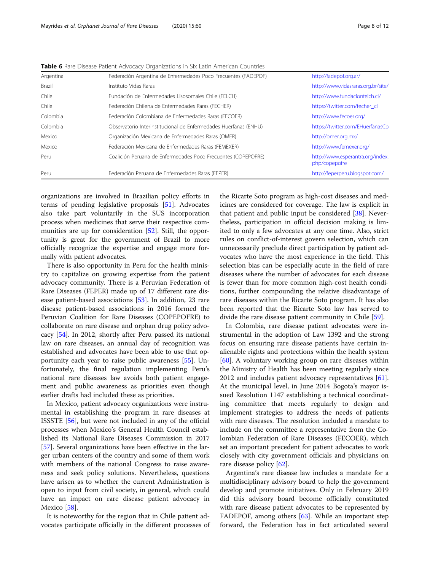| Argentina | Federación Argentina de Enfermedades Poco Frecuentes (FADEPOF)   | http://fadepof.org.ar/                            |
|-----------|------------------------------------------------------------------|---------------------------------------------------|
| Brazil    | Instituto Vidas Raras                                            | http://www.vidasraras.org.br/site/                |
| Chile     | Fundación de Enfermedades Lisosomales Chile (FELCH)              | http://www.fundacionfelch.cl/                     |
| Chile     | Federación Chilena de Enfermedades Raras (FECHER)                | https://twitter.com/fecher_cl                     |
| Colombia  | Federación Colombiana de Enfermedades Raras (FECOER)             | http://www.fecoer.org/                            |
| Colombia  | Observatorio Interinstitucional de Enfermedades Huerfanas (ENHU) | https://twitter.com/EHuerfanasCo                  |
| Mexico    | Organización Mexicana de Enfermedades Raras (OMER)               | http://omer.org.mx/                               |
| Mexico    | Federación Mexicana de Enfermedades Raras (FEMEXER)              | http://www.femexer.org/                           |
| Peru      | Coalición Peruana de Enfermedades Poco Frecuentes (COPEPOFRE)    | http://www.esperantra.org/index.<br>php/copepofre |
| Peru      | Federación Peruana de Enfermedades Raras (FEPER)                 | http://feperperu.blogspot.com/                    |

<span id="page-7-0"></span>Table 6 Rare Disease Patient Advocacy Organizations in Six Latin American Countries

organizations are involved in Brazilian policy efforts in terms of pending legislative proposals [\[51](#page-10-0)]. Advocates also take part voluntarily in the SUS incorporation process when medicines that serve their respective com-munities are up for consideration [[52\]](#page-10-0). Still, the opportunity is great for the government of Brazil to more officially recognize the expertise and engage more formally with patient advocates.

There is also opportunity in Peru for the health ministry to capitalize on growing expertise from the patient advocacy community. There is a Peruvian Federation of Rare Diseases (FEPER) made up of 17 different rare disease patient-based associations [[53\]](#page-10-0). In addition, 23 rare disease patient-based associations in 2016 formed the Peruvian Coalition for Rare Diseases (COPEPOFRE) to collaborate on rare disease and orphan drug policy advocacy [\[54\]](#page-10-0). In 2012, shortly after Peru passed its national law on rare diseases, an annual day of recognition was established and advocates have been able to use that opportunity each year to raise public awareness [\[55\]](#page-10-0). Unfortunately, the final regulation implementing Peru's national rare diseases law avoids both patient engagement and public awareness as priorities even though earlier drafts had included these as priorities.

In Mexico, patient advocacy organizations were instrumental in establishing the program in rare diseases at ISSSTE [[56](#page-10-0)], but were not included in any of the official processes when Mexico's General Health Council established its National Rare Diseases Commission in 2017 [[57\]](#page-10-0). Several organizations have been effective in the larger urban centers of the country and some of them work with members of the national Congress to raise awareness and seek policy solutions. Nevertheless, questions have arisen as to whether the current Administration is open to input from civil society, in general, which could have an impact on rare disease patient advocacy in Mexico [\[58](#page-10-0)].

It is noteworthy for the region that in Chile patient advocates participate officially in the different processes of

the Ricarte Soto program as high-cost diseases and medicines are considered for coverage. The law is explicit in that patient and public input be considered [[38\]](#page-10-0). Nevertheless, participation in official decision making is limited to only a few advocates at any one time. Also, strict rules on conflict-of-interest govern selection, which can unnecessarily preclude direct participation by patient advocates who have the most experience in the field. This selection bias can be especially acute in the field of rare diseases where the number of advocates for each disease is fewer than for more common high-cost health conditions, further compounding the relative disadvantage of rare diseases within the Ricarte Soto program. It has also been reported that the Ricarte Soto law has served to divide the rare disease patient community in Chile [[59\]](#page-11-0).

In Colombia, rare disease patient advocates were instrumental in the adoption of Law 1392 and the strong focus on ensuring rare disease patients have certain inalienable rights and protections within the health system [[60\]](#page-11-0). A voluntary working group on rare diseases within the Ministry of Health has been meeting regularly since 2012 and includes patient advocacy representatives [\[61](#page-11-0)]. At the municipal level, in June 2014 Bogota's mayor issued Resolution 1147 establishing a technical coordinating committee that meets regularly to design and implement strategies to address the needs of patients with rare diseases. The resolution included a mandate to include on the committee a representative from the Colombian Federation of Rare Diseases (FECOER), which set an important precedent for patient advocates to work closely with city government officials and physicians on rare disease policy [[62](#page-11-0)].

Argentina's rare disease law includes a mandate for a multidisciplinary advisory board to help the government develop and promote initiatives. Only in February 2019 did this advisory board become officially constituted with rare disease patient advocates to be represented by FADEPOF, among others [\[63\]](#page-11-0). While an important step forward, the Federation has in fact articulated several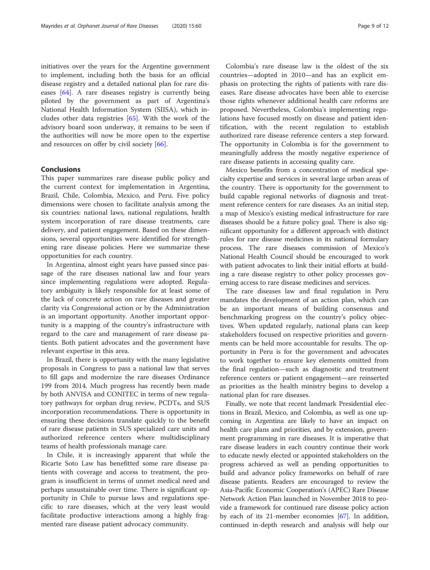initiatives over the years for the Argentine government to implement, including both the basis for an official disease registry and a detailed national plan for rare diseases [\[64\]](#page-11-0). A rare diseases registry is currently being piloted by the government as part of Argentina's National Health Information System (SIISA), which includes other data registries [\[65](#page-11-0)]. With the work of the advisory board soon underway, it remains to be seen if the authorities will now be more open to the expertise and resources on offer by civil society [\[66](#page-11-0)].

### Conclusions

This paper summarizes rare disease public policy and the current context for implementation in Argentina, Brazil, Chile, Colombia, Mexico, and Peru. Five policy dimensions were chosen to facilitate analysis among the six countries: national laws, national regulations, health system incorporation of rare disease treatments, care delivery, and patient engagement. Based on these dimensions, several opportunities were identified for strengthening rare disease policies. Here we summarize these opportunities for each country.

In Argentina, almost eight years have passed since passage of the rare diseases national law and four years since implementing regulations were adopted. Regulatory ambiguity is likely responsible for at least some of the lack of concrete action on rare diseases and greater clarity via Congressional action or by the Administration is an important opportunity. Another important opportunity is a mapping of the country's infrastructure with regard to the care and management of rare disease patients. Both patient advocates and the government have relevant expertise in this area.

In Brazil, there is opportunity with the many legislative proposals in Congress to pass a national law that serves to fill gaps and modernize the rare diseases Ordinance 199 from 2014. Much progress has recently been made by both ANVISA and CONITEC in terms of new regulatory pathways for orphan drug review, PCDTs, and SUS incorporation recommendations. There is opportunity in ensuring these decisions translate quickly to the benefit of rare disease patients in SUS specialized care units and authorized reference centers where multidisciplinary teams of health professionals manage care.

In Chile, it is increasingly apparent that while the Ricarte Soto Law has benefitted some rare disease patients with coverage and access to treatment, the program is insufficient in terms of unmet medical need and perhaps unsustainable over time. There is significant opportunity in Chile to pursue laws and regulations specific to rare diseases, which at the very least would facilitate productive interactions among a highly fragmented rare disease patient advocacy community.

Colombia's rare disease law is the oldest of the six countries—adopted in 2010—and has an explicit emphasis on protecting the rights of patients with rare diseases. Rare disease advocates have been able to exercise those rights whenever additional health care reforms are proposed. Nevertheless, Colombia's implementing regulations have focused mostly on disease and patient identification, with the recent regulation to establish authorized rare disease reference centers a step forward. The opportunity in Colombia is for the government to meaningfully address the mostly negative experience of rare disease patients in accessing quality care.

Mexico benefits from a concentration of medical specialty expertise and services in several large urban areas of the country. There is opportunity for the government to build capable regional networks of diagnosis and treatment reference centers for rare diseases. As an initial step, a map of Mexico's existing medical infrastructure for rare diseases should be a future policy goal. There is also significant opportunity for a different approach with distinct rules for rare disease medicines in its national formulary process. The rare diseases commission of Mexico's National Health Council should be encouraged to work with patient advocates to link their initial efforts at building a rare disease registry to other policy processes governing access to rare disease medicines and services.

The rare diseases law and final regulation in Peru mandates the development of an action plan, which can be an important means of building consensus and benchmarking progress on the country's policy objectives. When updated regularly, national plans can keep stakeholders focused on respective priorities and governments can be held more accountable for results. The opportunity in Peru is for the government and advocates to work together to ensure key elements omitted from the final regulation—such as diagnostic and treatment reference centers or patient engagement—are reinserted as priorities as the health ministry begins to develop a national plan for rare diseases.

Finally, we note that recent landmark Presidential elections in Brazil, Mexico, and Colombia, as well as one upcoming in Argentina are likely to have an impact on health care plans and priorities, and by extension, government programming in rare diseases. It is imperative that rare disease leaders in each country continue their work to educate newly elected or appointed stakeholders on the progress achieved as well as pending opportunities to build and advance policy frameworks on behalf of rare disease patients. Readers are encouraged to review the Asia-Pacific Economic Cooperation's (APEC) Rare Disease Network Action Plan launched in November 2018 to provide a framework for continued rare disease policy action by each of its 21-member economies [\[67](#page-11-0)]. In addition, continued in-depth research and analysis will help our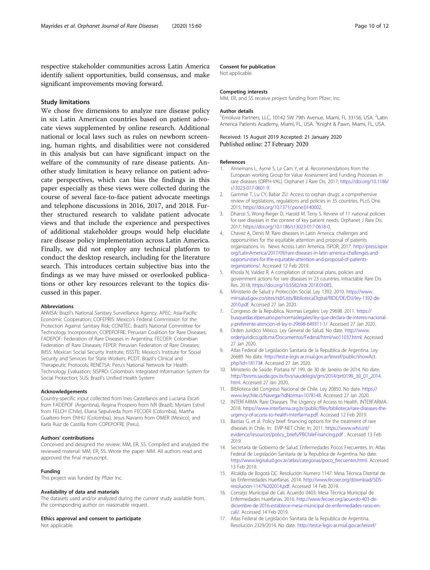<span id="page-9-0"></span>respective stakeholder communities across Latin America identify salient opportunities, build consensus, and make significant improvements moving forward.

#### Study limitations

We chose five dimensions to analyze rare disease policy in six Latin American countries based on patient advocate views supplemented by online research. Additional national or local laws such as rules on newborn screening, human rights, and disabilities were not considered in this analysis but can have significant impact on the welfare of the community of rare disease patients. Another study limitation is heavy reliance on patient advocate perspectives, which can bias the findings in this paper especially as these views were collected during the course of several face-to-face patient advocate meetings and telephone discussions in 2016, 2017, and 2018. Further structured research to validate patient advocate views and that include the experience and perspectives of additional stakeholder groups would help elucidate rare disease policy implementation across Latin America. Finally, we did not employ any technical platform to conduct the desktop research, including for the literature search. This introduces certain subjective bias into the findings as we may have missed or overlooked publications or other key resources relevant to the topics discussed in this paper.

#### Abbreviations

ANVISA: Brazil's National Sanitary Surveillance Agency; APEC: Asia-Pacific Economic Cooperation; COFEPRIS: Mexico's Federal Commission for the Protection Against Sanitary Risk; CONITEC: Brazil's National Committee for Technology Incorporation; COPEPOFRE: Peruvian Coalition for Rare Diseases; FADEPOF: Federation of Rare Diseases in Argentina; FECOER: Colombian Federation of Rare Diseases; FEPER: Peruvian Federation of Rare Diseases; IMSS: Mexican Social Security Institute; ISSSTE: Mexico's Institute for Social Security and Services for State Workers; PCDT: Brazil's Clinical and Therapeutic Protocols; RENETSA: Peru's National Network for Health Technology Evaluation; SISPRO: Colombia's Integrated Information System for Social Protection; SUS: Brazil's Unified Health System

#### Acknowledgements

Country-specific input collected from Ines Castellanos and Luciana Escati from FADEPOF (Argentina), Regina Prospero from IVR (Brazil), Myriam Estivil from FELCH (Chile), Eliana Sepulveda from FECOER (Colombia), Martha Gualtero from ENHU (Colombia), Jesus Navarro from OMER (Mexico), and Karla Ruiz de Castilla from COPEPOFRE (Peru).

#### Authors' contributions

Conceived and designed the review: MM, ER, SS. Compiled and analyzed the reviewed material: MM, ER, SS. Wrote the paper: MM. All authors read and approved the final manuscript.

#### Funding

This project was funded by Pfizer Inc.

#### Availability of data and materials

The datasets used and/or analyzed during the current study available from. the corresponding author on reasonable request.

#### Ethics approval and consent to participate

Not applicable.

#### Consent for publication

Not applicable.

#### Competing interests

MM, ER, and SS receive project funding from Pfizer, Inc.

#### Author details

<sup>1</sup> Emoluva Partners, LLC, 10142 SW 79th Avenue, Miami, FL 33156, USA. <sup>2</sup> Latin America Patients Academy, Miami, FL, USA. <sup>3</sup>Knight & Pawn, Miami, FL, USA.

Received: 15 August 2019 Accepted: 21 January 2020 Published online: 27 February 2020

#### References

- 1. Annemans L, Aymé S, Le Cam Y, et al. Recommendations from the European working Group for Value Assessment and Funding Processes in rare diseases (ORPH-VAL). Orphanet J Rare Dis. 2017; https://doi.org/10.1186/ s13023-017-0601-9.
- 2. Gammie T, Lu CY, Babar ZU. Access to orphan drugs: a comprehensive review of legislations, regulations and policies in 35 countries. PLoS One. 2015; https://doi.org/10.1371/.pone.0140002.
- 3. Dharssi S, Wong-Rieger D, Harold M, Terry S. Review of 11 national policies for rare diseases in the context of key patient needs. Orphanet J Rare Dis. 2017; https://doi.org/10.1186/s13023-017-0618-0.
- 4. Chavez A, Denis M. Rare diseases in Latin America: challenges and opportunities for the equitable attention and proposal of patients organizations. In: News Across Latin America. ISPOR; 2017. http://press.ispor. org/LatinAmerica/2017/09/rare-diseases-in-latin-america-challenges-andopportunities-for-the-equitable-attention-and-proposal-of-patientsorganizations/. Accessed 12 Feb 2019.
- 5. Khosla N, Valdez R. A compilation of national plans, policies and government actions for rare diseases in 23 countries. Intractable Rare Dis Res. 2018; https://doi.org/10.5582/irdr.2018.01085.
- 6. Ministerio de Salud y Protección Social. Ley 1392. 2010. https://www. minsalud.gov.co/sites/rid/Lists/BibliotecaDigital/RIDE/DE/DIJ/ley-1392-de-2010.pdf. Accessed 27 Jan 2020.
- 7. Congreso de la Republica. Normas Legales: Ley 29698. 2011. https:// busquedas.elperuano.pe/normaslegales/ley-que-declara-de-interes-nacionaly-preferente-atencion-el-ley-n-29698-649311-1/. Accessed 27 Jan 2020.
- Orden Jurídico México. Ley General de Salud. No date. http://www. ordenjuridico.gob.mx/Documentos/Federal/html/wo11037.html. Accessed 27 Jan 2020.
- 9. Atlas Federal de Legislación Sanitaria de la Republica de Argentina. Ley 26689. No date. http://test.e-legis-ar.msal.gov.ar/leisref/public/showAct. php?id=18173#. Accessed 27 Jan 2020.
- 10. Ministerio de Saúde. Portaria N° 199, de 30 de Janeiro de 2014. No date. http://bvsms.saude.gov.br/bvs/saudelegis/gm/2014/prt0199\_30\_01\_2014. html. Accessed 27 Jan 2020.
- 11. Biblioteca del Congreso Nacional de Chile. Ley 20850. No date. https:// www.leychile.cl/Navegar?idNorma=1078148. Accessed 27 Jan 2020.
- 12. INTERFARMA. Rare Diseases: The Urgency of Access to Health. INTERFARMA. 2018. https://www.interfarma.org.br/public/files/biblioteca/rare-diseases-theurgency-of-access-to-health-interfarma.pdf. Accessed 12 Feb 2019.
- 13. Bastías G, et al. Policy brief: financing options for the treatment of rare diseases in Chile. In: EVIP-NET Chile: In; 2011. https://www.who.int/ evidence/resources/policy\_briefs/PBChileFinancing.pdf . Accessed 13 Feb 2019.
- 14. Secretaría de Gobierno de Salud. Enfermedades Pocos Frecuentes. In: Atlas Federal de Legislación Sanitaria de la Republica de Argentina. No date. http://www.legisalud.gov.ar/atlas/categorias/poco\_frecuentes.html. Accessed 13 Feb 2019.
- 15. Alcaldía de Bogotá DC. Resolución Numero 1147: Mesa Técnica Distrital de las Enfermedades Huerfanas. 2014. http://www.fecoer.org/download/SDSresolucion-1147%202014.pdf. Accessed 14 Feb 2019.
- 16. Consejo Municipal de Cali. Acuerdo 0403: Mesa Técnica Municipal de Enfermedades Huerfanas. 2016. http://www.fecoer.org/acuerdo-403-dediciembre-de-2016-establece-mesa-municipal-de-enfermedades-raras-encali/. Accessed 14 Feb 2019.
- 17. Atlas Federal de Legislación Sanitaria de la Republica de Argentina. Resolución 2329/2014. No date. http://test.e-legis-ar.msal.gov.ar/leisref/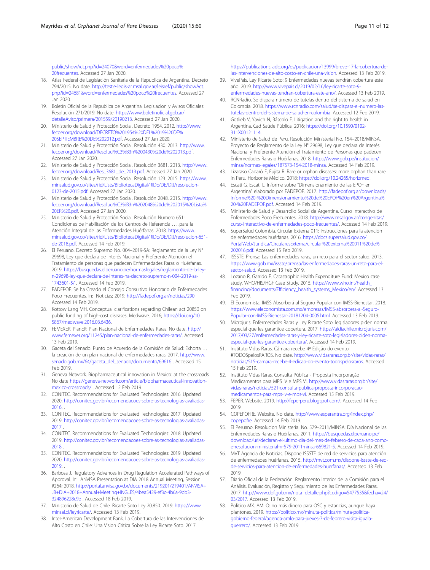<span id="page-10-0"></span>public/showAct.php?id=24070&word=enfermedades%20poco% 20frecuentes. Accessed 27 Jan 2020.

- 18. Atlas Federal de Legislación Sanitaria de la Republica de Argentina. Decreto 794/2015. No date. http://test.e-legis-ar.msal.gov.ar/leisref/public/showAct. php?id=24681&word=enfermedades%20poco%20frecuentes. Accessed 27 Jan 2020.
- 19. Boletín Oficial de la Republica de Argentina. Legislacion y Avisos Oficiales: Resolución 271/2019. No date. https://www.boletinoficial.gob.ar/ detalleAviso/primera/201559/20190213. Accessed 27 Jan 2020.
- 20. Ministerio de Salud y Protección Social. Decreto 1954. 2012. http://www. fecoer.org/download/DECRETO%201954%20DEL%2019%20DE% 20SEPTIEMBRE%20DE%202012.pdf. Accessed 27 Jan 2020.
- 21. Ministerio de Salud y Protección Social. Resolución 430. 2013. http://www. fecoer.org/download/Resoluci%C3%B3n%200430%20de%202013.pdf. Accessed 27 Jan 2020.
- 22. Ministerio de Salud y Protección Social. Resolución 3681. 2013. http://www. fecoer.org/download/Res\_3681\_de\_2013.pdf. Accessed 27 Jan 2020.
- 23. Ministerio de Salud y Protección Social. Resolución 123. 2015. https://www. minsalud.gov.co/sites/rid/Lists/BibliotecaDigital/RIDE/DE/DIJ/resolucion-0123-de-2015.pdf. Accessed 27 Jan 2020.
- 24. Ministerio de Salud y Protección Social. Resolución 2048. 2015. http://www. fecoer.org/download/Resoluci%C3%B3n%202048%20de%202015%20Lista% 20ER%20.pdf. Accessed 27 Jan 2020.
- 25. Ministerio de Salud y Protección Social. Resolución Numero 651: Condiciones de Habilitación de los Centros de Referencia … .para la Atención Integral de las Enfermedades Huérfanas. 2018. https://www. minsalud.gov.co/sites/rid/Lists/BibliotecaDigital/RIDE/DE/DIJ/resolucion-651 de-2018.pdf. Accessed 14 Feb 2019.
- 26. El Peruano. Decreto Supremo No. 004–2019-SA: Reglamento de la Ley N° 29698, Ley que declara de Interés Nacional y Preferente Atención el Tratamiento de personas que padecen Enfermedades Raras o Huérfanas. 2019. https://busquedas.elperuano.pe/normaslegales/reglamento-de-la-leyn-29698-ley-que-declara-de-interes-na-decreto-supremo-n-004-2019-sa-1743601-5/ . Accessed 14 Feb 2019.
- 27. FADEPOF. Se ha Creado el Consejo Consultivo Honorario de Enfermedades Poco Frecuentes. In: Noticias; 2019. http://fadepof.org.ar/noticias/290. Accessed 14 Feb 2019.
- 28. Kottow Lang MH. Conceptual clarifications regarding Chilean act 20850 on public funding of high-cost diseases. Medwave. 2016; https://doi.org/10. 5867/medwave.2016.03.6436.
- 29. FEMEXER. PlanER: Plan Nacional de Enfermedades Raras. No date. http:// www.femexer.org/11245/plan-nacional-de-enfermedades-raras/. Accessed 13 Feb 2019.
- 30. Gaceta del Senado. Punto de Acuerdo de la Comisión de Salud: Exhorta … la creación de un plan nacional de enfermedades raras. 2017. http://www. senado.gob.mx/64/gaceta\_del\_senado/documento/69616 . Accessed 15 Feb 2019.
- 31. Geneva Network. Biopharmaceutical innovation in Mexico: at the crossroads. No date https://geneva-network.com/article/biopharmaceutical-innovationmexico-crossroads/ . Accessed 12 Feb 2019.
- 32. CONITEC. Recommendations for Evaluated Technologies: 2016. Updated 2020. http://conitec.gov.br/recomendacoes-sobre-as-tecnologias-avaliadas-2016
- 33. CONITEC. Recommendations for Evaluated Technologies: 2017. Updated 2019. http://conitec.gov.br/recomendacoes-sobre-as-tecnologias-avaliadas-2017
- 34. CONITEC. Recommendations for Evaluated Technologies: 2018. Updated 2019. http://conitec.gov.br/recomendacoes-sobre-as-tecnologias-avaliadas-2018
- 35. CONITEC. Recommendations for Evaluated Technologies: 2019. Updated 2020. http://conitec.gov.br/recomendacoes-sobre-as-tecnologias-avaliadas-2019
- 36. Barbosa J. Regulatory Advances in Drug Regulation Accelerated Pathways of Approval. In: ANVISA Presentation at DIA 2018 Annual Meeting, Session #264; 2018. http://portal.anvisa.gov.br/documents/219201/219401/ANVISA+ JB+DIA+2018+Annual+Meeting+INGLÊS/4bea5429-ef3c-4b6a-9bb3- 324896228c9e . Accessed 18 Feb 2019.
- 37. Ministerio de Salud de Chile. Ricarte Soto Ley 20.850. 2019. https://www. minsal.cl/leyricarte/. Accessed 13 Feb 2019.
- 38. Inter-American Development Bank. La Cobertura de las Intervenciones de Alto Costo en Chile: Una Vision Critica Sobre la Ley Ricarte Soto. 2017.

https://publications.iadb.org/es/publicacion/13999/breve-17-la-cobertura-delas-intervenciones-de-alto-costo-en-chile-una-vision. Accessed 13 Feb 2019.

- 39. VivePais. Ley Ricarte Soto: 9 Enfermedades nuevas tendrán cobertura este año. 2019. http://www.vivepais.cl/2019/02/16/ley-ricarte-soto-9 enfermedades-nuevas-tendran-cobertura-este-ano/. Accessed 13 Feb 2019.
- 40. RCNRadio. Se dispara número de tutelas dentro del sistema de salud en Colombia. 2018. https://www.rcnradio.com/salud/se-dispara-el-numero-lastutelas-dentro-del-sistema-de-salud-en-colombia. Accessed 12 Feb 2019.
- 41. Gotlieb V, Yavich N, Báscolo E. Litigation and the right to health in Argentina. Cad Saúde Pública. 2016; https://doi.org/10.1590/0102- 311X00121114.
- 42. Ministerio de Salud de Peru. Resolución Ministerial No. 154–2018/MINSA. Proyecto de Reglamento de la Ley N° 29698, Ley que declara de Interés Nacional y Preferente Atención el Tratamiento de Personas que padecen Enfermedades Raras o Huérfanas. 2018. https://www.gob.pe/institucion/ minsa/normas-legales/187573-154-2018-minsa. Accessed 14 Feb 2019.
- 43. Lizaraso Caparó F, Fujita R. Rare or orphan diseases: more orphan than rare in Peru. Horizonte Médico. 2018; https://doi.org/10.24265/horizmed.
- 44. Escati G, Escati L. Informe sobre "Dimensionamiento de las EPOF en Argentina" elaborado por FADEPOF. 2017. http://fadepof.org.ar/downloads/ Informe%20-%20Dimensionamiento%20de%20EPOF%20en%20Argentina% 20-%20FADEPOF.pdf. Accessed 14 Feb 2019.
- 45. Ministerio de Salud y Desarrollo Social de Argentina. Curso Interactivo de Enfermedades Poco Frecuentes. 2018. http://www.msal.gov.ar/congenitas/ curso-interactivo-de-enfermedades-poco-frecuentes/. Accessed 14 Feb 2019.
- 46. SuperSalud Colombia. Circular Externa 011: Instrucciones para la atención de enfermedades huérfanas. 2016. https://docs.supersalud.gov.co/ PortalWeb/Juridica/CircularesExterna/circular%20externa%20011%20de% 202016.pdf. Accessed 15 Feb 2019.
- 47. ISSSTE. Prensa: Las enfermedades raras, un reto para el sector salud. 2013. https://www.gob.mx/issste/prensa/las-enfermedades-raras-un-reto-para-elsector-salud. Accessed 13 Feb 2019.
- 48. Lozano R, Garrido F. Catastrophic Health Expenditure Fund: Mexico case study. WHO/HIS/HGF Case Study. 2015. https://www.who.int/health\_ financing/documents/Efficiency\_health\_systems\_Mexico/en/. Accessed 13 Feb 2019.
- 49. El Economista. IMSS Absorberá al Seguro Popular con IMSS-Bienestar. 2018. https://www.eleconomista.com.mx/empresas/IMSS-absorbera-al-Seguro-Popular-con-IMSS-Bienestar-20181204-0005.html. Accessed 13 Feb 2019.
- 50. Microjuris. Enfermedades Raras y Ley Ricarte Soto: legisladores piden norma especial que les garantice cobertura. 2017. https://aldiachile.microjuris.com/ 2017/03/27/enfermedades-raras-y-ley-ricarte-soto-legisladores-piden-normaespecial-que-les-garantice-cobertura/. Accessed 14 Feb 2019.
- 51. Instituto Vidas Raras. Câmara recebe 4ª Edição do evento #TODOSpelosRAROS. No date. http://www.vidasraras.org.br/site/vidas-raras/ noticias/515-camara-recebe-4-edicao-do-evento-todospelosraros. Accessed 15 Feb 2019.
- 52. Instituto Vidas Raras. Consulta Pública Proposta Incorporação Medicamentos para MPS IV e MPS VI. http://www.vidasraras.org.br/site/ vidas-raras/noticias/521-consulta-publica-proposta-incorporacaomedicamentos-para-mps-iv-e-mps-vi. Accessed 15 Feb 2019.
- 53. FEPER. Website. 2019. http://feperperu.blogspot.com/. Accessed 14 Feb 2019.
- 54. COPEPOFRE. Website. No date. http://www.esperantra.org/index.php/ copepofre. Accessed 14 Feb 2019.
- 55. El Peruano. Resolucion Ministerial No. 579–2011/MINSA: Día Nacional de las Enfermedades Raras o Huérfanas. 2011. https://busquedas.elperuano.pe/ download/url/declaran-el-ultimo-dia-del-mes-de-febrero-de-cada-ano-comoe-resolucion-ministerial-n-579-2011minsa-669821-5. Accessed 14 Feb 2019.
- 56. MVT Agencia de Noticias. Dispone ISSSTE de red de servicios para atención de enfermedades huérfanas. 2015. http://mvt.com.mx/dispone-issste-de-redde-servicios-para-atencion-de-enfermedades-huerfanas/. Accessed 13 Feb 2019.
- 57. Diario Oficial de la Federación. Reglamento Interior de la Comisión para el Análisis, Evaluación, Registro y Seguimiento de las Enfermedades Raras. 2017. http://www.dof.gob.mx/nota\_detalle.php?codigo=5477535&fecha=24/ 03/2017. Accessed 13 Feb 2019.
- 58. Politico MX. AMLO: no más dinero para OSC y estancias, aunque haya plantones. 2019. https://politico.mx/minuta-politica/minuta-politicagobierno-federal/agenda-amlo-para-jueves-7-de-febrero-visita-igualaguerrero/. Accessed 13 Feb 2019.